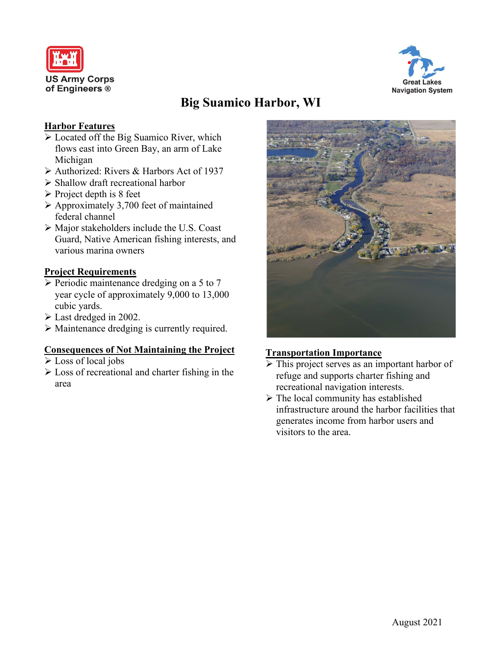



# **Big Suamico Harbor, WI**

#### **Harbor Features**

- Located off the Big Suamico River, which flows east into Green Bay, an arm of Lake Michigan
- Authorized: Rivers & Harbors Act of 1937
- $\triangleright$  Shallow draft recreational harbor
- $\triangleright$  Project depth is 8 feet
- $\triangleright$  Approximately 3,700 feet of maintained federal channel
- Major stakeholders include the U.S. Coast Guard, Native American fishing interests, and various marina owners

### **Project Requirements**

- $\triangleright$  Periodic maintenance dredging on a 5 to 7 year cycle of approximately 9,000 to 13,000 cubic yards.
- Last dredged in 2002.
- Maintenance dredging is currently required.

### **Consequences of Not Maintaining the Project**

- Loss of local jobs
- Loss of recreational and charter fishing in the area



#### **Transportation Importance**

- This project serves as an important harbor of refuge and supports charter fishing and recreational navigation interests.
- $\triangleright$  The local community has established infrastructure around the harbor facilities that generates income from harbor users and visitors to the area.